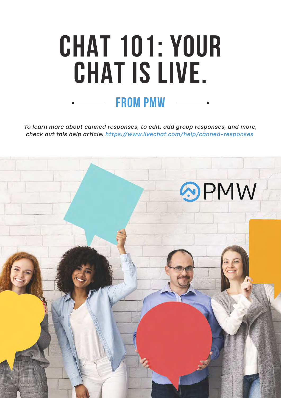# **CHAT 101: YOUR CHAT IS LIVE. from pmw**

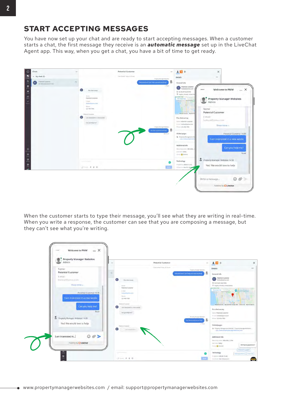You have now set up your chat and are ready to start accepting messages. When a customer starts a chat, the first message they receive is an *automatic message* set up in the LiveChat Agent app. This way, when you get a chat, you have a bit of time to get ready.



When the customer starts to type their message, you'll see what they are writing in real-time. When you write a response, the customer can see that you are composing a message, but they can't see what you're writing.

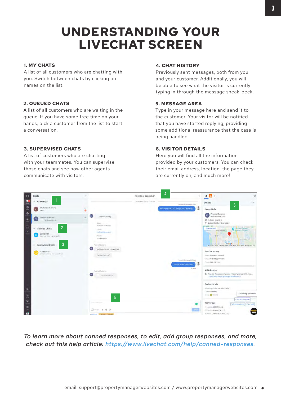## **UNDERSTANDING YOUR LIVECHAT SCREEN**

#### **1. MY CHATS**

A list of all customers who are chatting with you. Switch between chats by clicking on names on the list.

#### **2. QUEUED CHATS**

A list of all customers who are waiting in the queue. If you have some free time on your hands, pick a customer from the list to start a conversation.

#### **3. SUPERVISED CHATS**

A list of customers who are chatting with your teammates. You can supervise those chats and see how other agents communicate with visitors.

#### **4. CHAT HISTORY**

Previously sent messages, both from you and your customer. Additionally, you will be able to see what the visitor is currently typing in through the message sneak-peek.

#### **5. MESSAGE AREA**

Type in your message here and send it to the customer. Your visitor will be notified that you have started replying, providing some additional reassurance that the case is being handled.

#### **6. VISITOR DETAILS**

Here you will find all the information provided by your customers. You can check their email address, location, the page they are currently on, and much more!

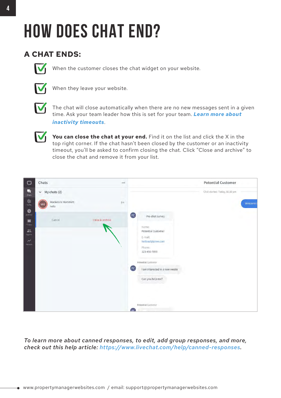## **HOW DOES CHAT END?**

### **A CHAT ENDS:**



When the customer closes the chat widget on your website.



When they leave your website.



The chat will close automatically when there are no new messages sent in a given [time. Ask your team leader how this is set for your team.](https://www.livechat.com/help/how-to-make-the-most-of-messaging-mode/#first-steps-in-messaging-mode) *Learn more about inactivity timeouts*.

You can close the chat at your end. Find it on the list and click the X in the top right corner. If the chat hasn't been closed by the customer or an inactivity timeout, you'll be asked to confirm closing the chat. Click "Close and archive" to **01** close the chat and remove it from your list.

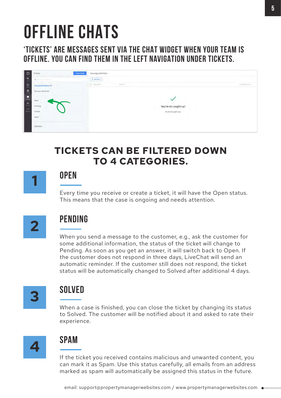## **OFFLINE CHATS**

**'TICKETS' ARE MESSAGES SENT VIA THE CHAT WIDGET WHEN YOUR TEAM IS OFFLINE. YOU CAN FIND THEM IN THE LEFT NAVIGATION UNDER TICKETS.** 

| $\circ$                  | $+$ New Boket<br>Tickets | Unassigned tickets                  |
|--------------------------|--------------------------|-------------------------------------|
| 四                        | B. Southern France       | + Add filter                        |
|                          | Unassigned tickets (0)   | O streets<br>$\frac{1}{2}$ (matrix) |
| $\overline{\phantom{a}}$ | My open tickets (0)      |                                     |
|                          | Open                     |                                     |
|                          | Pending                  | You're all caught up!               |
| $\mathbf{r}$             | Solved                   | No tickets right now.               |
|                          | Spam                     |                                     |
|                          | All tickets              |                                     |

## **TICKETS CAN BE FILTERED DOWN TO 4 CATEGORIES.**

## **OPEN**

Every time you receive or create a ticket, it will have the Open status. This means that the case is ongoing and needs attention.



## **PENDING**

When you send a message to the customer, e.g., ask the customer for some additional information, the status of the ticket will change to Pending. As soon as you get an answer, it will switch back to Open. If the customer does not respond in three days, LiveChat will send an automatic reminder. If the customer still does not respond, the ticket status will be automatically changed to Solved after additional 4 days.



## **SOLVED**

When a case is finished, you can close the ticket by changing its status to Solved. The customer will be notified about it and asked to rate their experience.



## **SPAM**

If the ticket you received contains malicious and unwanted content, you can mark it as Spam. Use this status carefully, all emails from an address marked as spam will automatically be assigned this status in the future.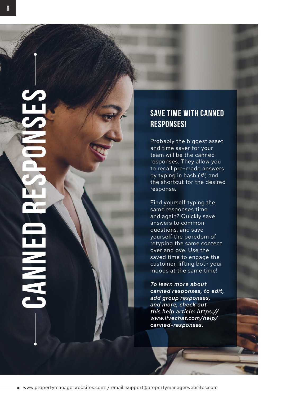### **SAVE TIME WITH CANNED RESPONSES!**

Probably the biggest asset and time saver for your team will be the canned responses. They allow you to recall pre-made answers by typing in hash  $(#)$  and the shortcut for the desired response.

Find yourself typing the same responses time and again? Quickly save answers to common questions, and save yourself the boredom of retyping the same content over and ove. Use the saved time to engage the customer, lifting both your moods at the same time!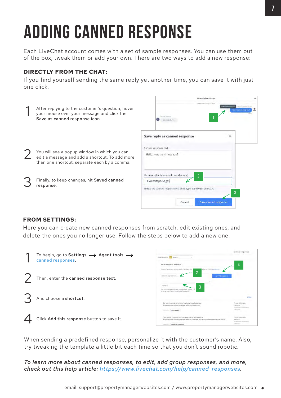# **ADDING CANNED RESPONSE**

Each LiveChat account comes with a set of sample responses. You can use them out of the box, tweak them or add your own. There are two ways to add a new response:

### **DIRECTLY FROM THE CHAT:**

If you find yourself sending the same reply yet another time, you can save it with just one click.



#### **FROM SETTINGS:**

Here you can create new canned responses from scratch, edit existing ones, and delete the ones you no longer use. Follow the steps below to add a new one:



When sending a predefined response, personalize it with the customer's name. Also, try tweaking the template a little bit each time so that you don't sound robotic.